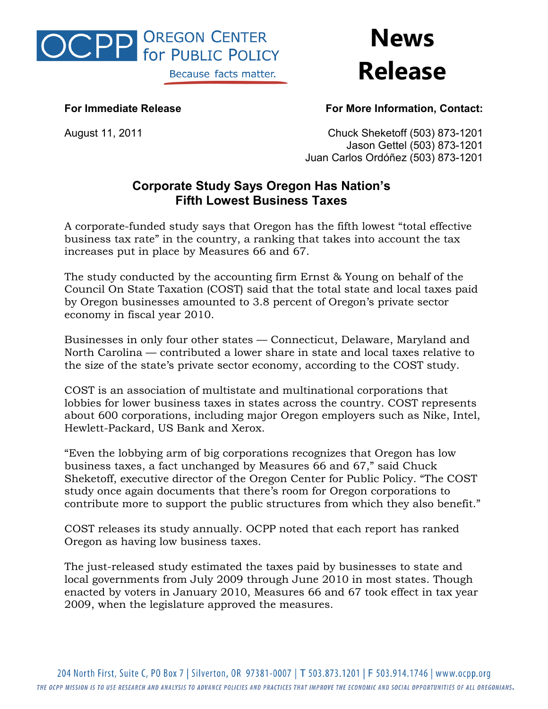

**News Release**

## **For Immediate Release For More Information, Contact:**

August 11, 2011 Chuck Sheketoff (503) 873-1201 Jason Gettel (503) 873-1201 Juan Carlos Ordóñez (503) 873-1201

## **Corporate Study Says Oregon Has Nation's Fifth Lowest Business Taxes**

A corporate-funded study says that Oregon has the fifth lowest "total effective business tax rate" in the country, a ranking that takes into account the tax increases put in place by Measures 66 and 67.

The study conducted by the accounting firm Ernst & Young on behalf of the Council On State Taxation (COST) said that the total state and local taxes paid by Oregon businesses amounted to 3.8 percent of Oregon's private sector economy in fiscal year 2010.

Businesses in only four other states — Connecticut, Delaware, Maryland and North Carolina — contributed a lower share in state and local taxes relative to the size of the state's private sector economy, according to the COST study.

COST is an association of multistate and multinational corporations that lobbies for lower business taxes in states across the country. COST represents about 600 corporations, including major Oregon employers such as Nike, Intel, Hewlett-Packard, US Bank and Xerox.

"Even the lobbying arm of big corporations recognizes that Oregon has low business taxes, a fact unchanged by Measures 66 and 67," said Chuck Sheketoff, executive director of the Oregon Center for Public Policy. "The COST study once again documents that there's room for Oregon corporations to contribute more to support the public structures from which they also benefit."

COST releases its study annually. OCPP noted that each report has ranked Oregon as having low business taxes.

The just-released study estimated the taxes paid by businesses to state and local governments from July 2009 through June 2010 in most states. Though enacted by voters in January 2010, Measures 66 and 67 took effect in tax year 2009, when the legislature approved the measures.